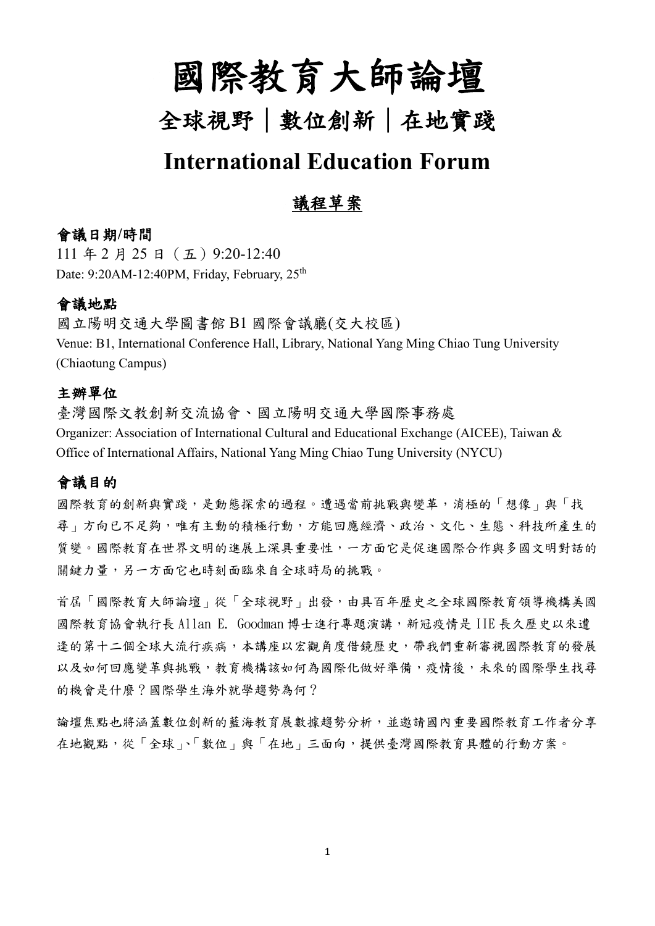# 國際教育大師論壇

## 全球視野|數位創新|在地實踐

### **International Education Forum**

### 議程草案

#### 會議日期**/**時間

111 年 2 月 25 日 (五) 9:20-12:40 Date: 9:20AM-12:40PM, Friday, February, 25<sup>th</sup>

#### 會議地點

國立陽明交通大學圖書館 B1 國際會議廳(交大校區) Venue: B1, International Conference Hall, Library, National Yang Ming Chiao Tung University (Chiaotung Campus)

#### 主辦單位

臺灣國際文教創新交流協會、國立陽明交通大學國際事務處 Organizer: Association of International Cultural and Educational Exchange (AICEE), Taiwan & Office of International Affairs, National Yang Ming Chiao Tung University (NYCU)

#### 會議目的

國際教育的創新與實踐,是動態探索的過程。遭遇當前挑戰與變革,消極的「想像」與「找 尋」方向已不足夠,唯有主動的積極行動,方能回應經濟、政治、文化、生態、科技所產生的 質變。國際教育在世界文明的進展上深具重要性,一方面它是促進國際合作與多國文明對話的 關鍵力量,另一方面它也時刻面臨來自全球時局的挑戰。

首屆「國際教育大師論壇」從「全球視野」出發,由具百年歷史之全球國際教育領導機構美國 國際教育協會執行長 Allan E. Goodman 博士進行專題演講,新冠疫情是 IIE 長久歷史以來遭 逢的第十二個全球大流行疾病,本講座以宏觀角度借鏡歷史,帶我們重新審視國際教育的發展 以及如何回應變革與挑戰,教育機構該如何為國際化做好準備,疫情後,未來的國際學生找尋 的機會是什麼?國際學生海外就學趨勢為何?

論壇焦點也將涵蓋數位創新的藍海教育展數據趨勢分析,並邀請國內重要國際教育工作者分享 在地觀點,從「全球」、「數位」與「在地」三面向,提供臺灣國際教育具體的行動方案。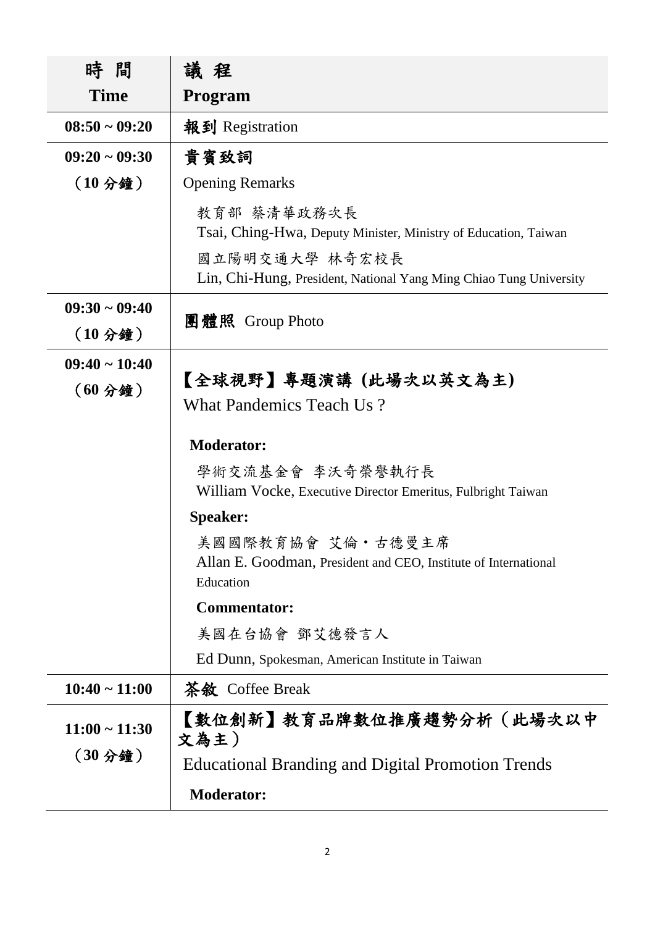| 時 間                              | 議程                                                                                                                                                                     |
|----------------------------------|------------------------------------------------------------------------------------------------------------------------------------------------------------------------|
| <b>Time</b>                      | <b>Program</b>                                                                                                                                                         |
| $08:50 \sim 09:20$               | 報到 Registration                                                                                                                                                        |
| $09:20 \sim 09:30$               | 貴賓致詞                                                                                                                                                                   |
| (10 <sub>2</sub> )               | <b>Opening Remarks</b>                                                                                                                                                 |
|                                  | 教育部 蔡清華政務次長<br>Tsai, Ching-Hwa, Deputy Minister, Ministry of Education, Taiwan<br>國立陽明交通大學 林奇宏校長<br>Lin, Chi-Hung, President, National Yang Ming Chiao Tung University |
| $09:30 \sim 09:40$<br>$(102)$ 鐘) | 團體照 Group Photo                                                                                                                                                        |
| $09:40 \sim 10:40$               |                                                                                                                                                                        |
| (60 <sub>2</sub> )               | 【全球視野】專題演講 (此場次以英文為主)<br>What Pandemics Teach Us?                                                                                                                      |
|                                  | <b>Moderator:</b>                                                                                                                                                      |
|                                  | 學術交流基金會 李沃奇榮譽執行長<br>William Vocke, Executive Director Emeritus, Fulbright Taiwan                                                                                       |
|                                  | <b>Speaker:</b>                                                                                                                                                        |
|                                  | 美國國際教育協會 艾倫 •古德曼主席<br>Allan E. Goodman, President and CEO, Institute of International<br>Education                                                                     |
|                                  | <b>Commentator:</b>                                                                                                                                                    |
|                                  | 美國在台協會 鄧艾德發言人                                                                                                                                                          |
|                                  | Ed Dunn, Spokesman, American Institute in Taiwan                                                                                                                       |
| $10:40 \sim 11:00$               | 茶敘 Coffee Break                                                                                                                                                        |
| $11:00 \sim 11:30$               | 【數位創新】教育品牌數位推廣趨勢分析(此場次以中<br>文為主)                                                                                                                                       |
| (30 <sub>2</sub> )               | <b>Educational Branding and Digital Promotion Trends</b>                                                                                                               |
|                                  | <b>Moderator:</b>                                                                                                                                                      |